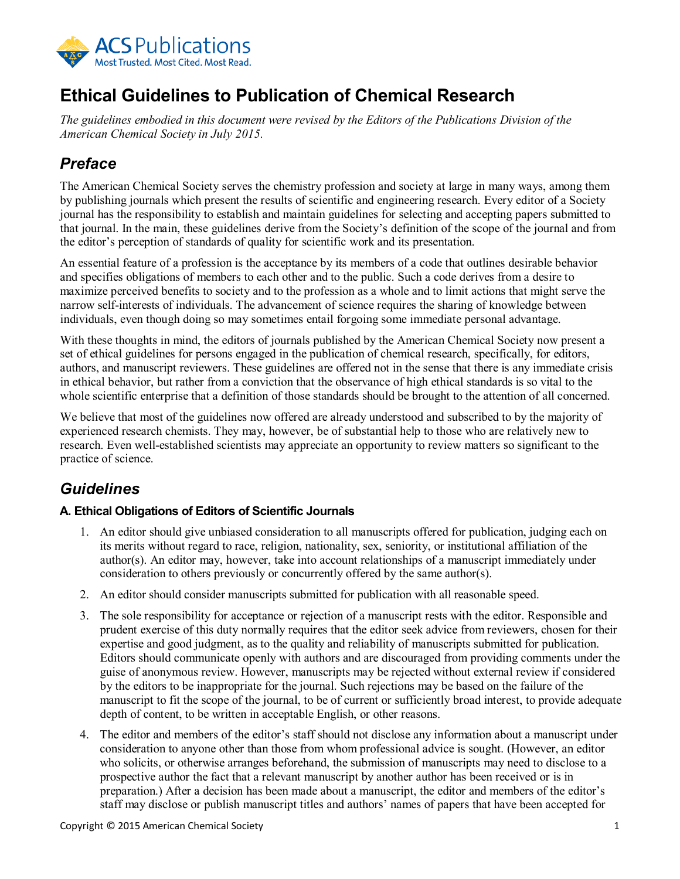

# **Ethical Guidelines to Publication of Chemical Research**

*The guidelines embodied in this document were revised by the Editors of the Publications Division of the American Chemical Society in July 2015.*

## *Preface*

The American Chemical Society serves the chemistry profession and society at large in many ways, among them by publishing journals which present the results of scientific and engineering research. Every editor of a Society journal has the responsibility to establish and maintain guidelines for selecting and accepting papers submitted to that journal. In the main, these guidelines derive from the Society's definition of the scope of the journal and from the editor's perception of standards of quality for scientific work and its presentation.

An essential feature of a profession is the acceptance by its members of a code that outlines desirable behavior and specifies obligations of members to each other and to the public. Such a code derives from a desire to maximize perceived benefits to society and to the profession as a whole and to limit actions that might serve the narrow self-interests of individuals. The advancement of science requires the sharing of knowledge between individuals, even though doing so may sometimes entail forgoing some immediate personal advantage.

With these thoughts in mind, the editors of journals published by the American Chemical Society now present a set of ethical guidelines for persons engaged in the publication of chemical research, specifically, for editors, authors, and manuscript reviewers. These guidelines are offered not in the sense that there is any immediate crisis in ethical behavior, but rather from a conviction that the observance of high ethical standards is so vital to the whole scientific enterprise that a definition of those standards should be brought to the attention of all concerned.

We believe that most of the guidelines now offered are already understood and subscribed to by the majority of experienced research chemists. They may, however, be of substantial help to those who are relatively new to research. Even well-established scientists may appreciate an opportunity to review matters so significant to the practice of science.

### *Guidelines*

### **A. Ethical Obligations of Editors of Scientific Journals**

- 1. An editor should give unbiased consideration to all manuscripts offered for publication, judging each on its merits without regard to race, religion, nationality, sex, seniority, or institutional affiliation of the author(s). An editor may, however, take into account relationships of a manuscript immediately under consideration to others previously or concurrently offered by the same author(s).
- 2. An editor should consider manuscripts submitted for publication with all reasonable speed.
- 3. The sole responsibility for acceptance or rejection of a manuscript rests with the editor. Responsible and prudent exercise of this duty normally requires that the editor seek advice from reviewers, chosen for their expertise and good judgment, as to the quality and reliability of manuscripts submitted for publication. Editors should communicate openly with authors and are discouraged from providing comments under the guise of anonymous review. However, manuscripts may be rejected without external review if considered by the editors to be inappropriate for the journal. Such rejections may be based on the failure of the manuscript to fit the scope of the journal, to be of current or sufficiently broad interest, to provide adequate depth of content, to be written in acceptable English, or other reasons.
- 4. The editor and members of the editor's staff should not disclose any information about a manuscript under consideration to anyone other than those from whom professional advice is sought. (However, an editor who solicits, or otherwise arranges beforehand, the submission of manuscripts may need to disclose to a prospective author the fact that a relevant manuscript by another author has been received or is in preparation.) After a decision has been made about a manuscript, the editor and members of the editor's staff may disclose or publish manuscript titles and authors' names of papers that have been accepted for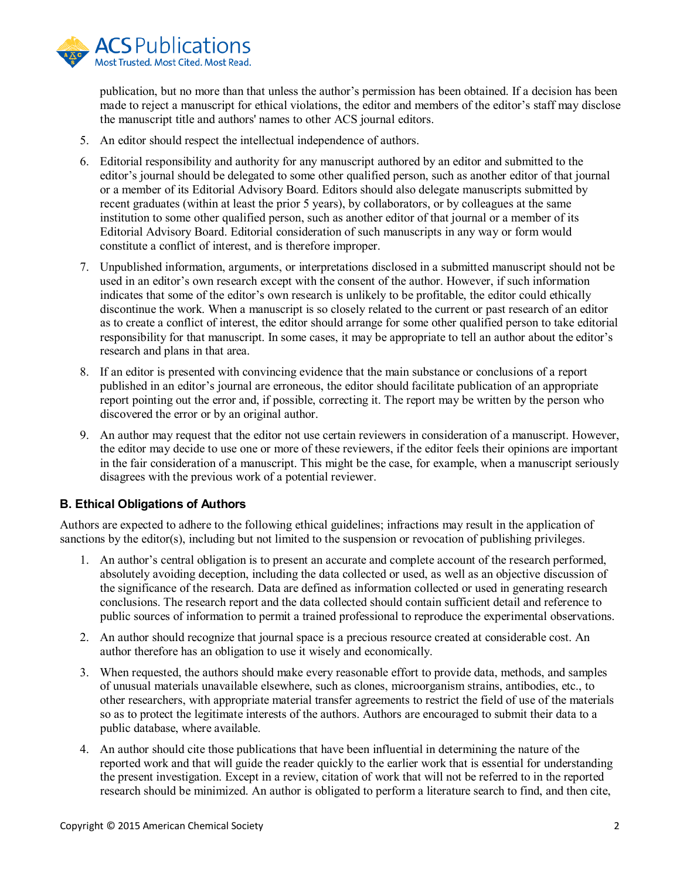

publication, but no more than that unless the author's permission has been obtained. If a decision has been made to reject a manuscript for ethical violations, the editor and members of the editor's staff may disclose the manuscript title and authors' names to other ACS journal editors.

- 5. An editor should respect the intellectual independence of authors.
- 6. Editorial responsibility and authority for any manuscript authored by an editor and submitted to the editor's journal should be delegated to some other qualified person, such as another editor of that journal or a member of its Editorial Advisory Board. Editors should also delegate manuscripts submitted by recent graduates (within at least the prior 5 years), by collaborators, or by colleagues at the same institution to some other qualified person, such as another editor of that journal or a member of its Editorial Advisory Board. Editorial consideration of such manuscripts in any way or form would constitute a conflict of interest, and is therefore improper.
- 7. Unpublished information, arguments, or interpretations disclosed in a submitted manuscript should not be used in an editor's own research except with the consent of the author. However, if such information indicates that some of the editor's own research is unlikely to be profitable, the editor could ethically discontinue the work. When a manuscript is so closely related to the current or past research of an editor as to create a conflict of interest, the editor should arrange for some other qualified person to take editorial responsibility for that manuscript. In some cases, it may be appropriate to tell an author about the editor's research and plans in that area.
- 8. If an editor is presented with convincing evidence that the main substance or conclusions of a report published in an editor's journal are erroneous, the editor should facilitate publication of an appropriate report pointing out the error and, if possible, correcting it. The report may be written by the person who discovered the error or by an original author.
- 9. An author may request that the editor not use certain reviewers in consideration of a manuscript. However, the editor may decide to use one or more of these reviewers, if the editor feels their opinions are important in the fair consideration of a manuscript. This might be the case, for example, when a manuscript seriously disagrees with the previous work of a potential reviewer.

### **B. Ethical Obligations of Authors**

Authors are expected to adhere to the following ethical guidelines; infractions may result in the application of sanctions by the editor(s), including but not limited to the suspension or revocation of publishing privileges.

- 1. An author's central obligation is to present an accurate and complete account of the research performed, absolutely avoiding deception, including the data collected or used, as well as an objective discussion of the significance of the research. Data are defined as information collected or used in generating research conclusions. The research report and the data collected should contain sufficient detail and reference to public sources of information to permit a trained professional to reproduce the experimental observations.
- 2. An author should recognize that journal space is a precious resource created at considerable cost. An author therefore has an obligation to use it wisely and economically.
- 3. When requested, the authors should make every reasonable effort to provide data, methods, and samples of unusual materials unavailable elsewhere, such as clones, microorganism strains, antibodies, etc., to other researchers, with appropriate material transfer agreements to restrict the field of use of the materials so as to protect the legitimate interests of the authors. Authors are encouraged to submit their data to a public database, where available.
- 4. An author should cite those publications that have been influential in determining the nature of the reported work and that will guide the reader quickly to the earlier work that is essential for understanding the present investigation. Except in a review, citation of work that will not be referred to in the reported research should be minimized. An author is obligated to perform a literature search to find, and then cite,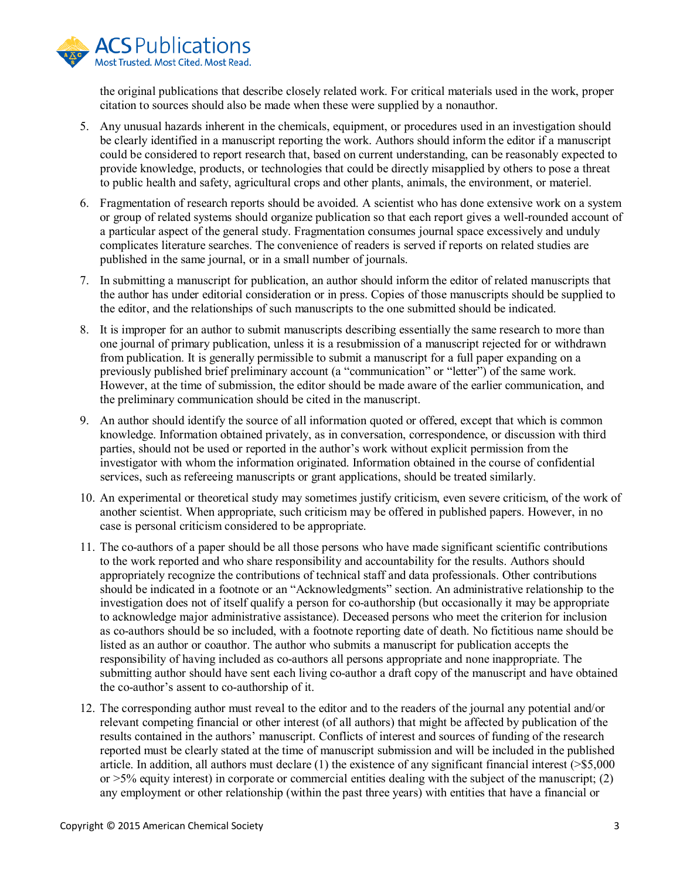

the original publications that describe closely related work. For critical materials used in the work, proper citation to sources should also be made when these were supplied by a nonauthor.

- 5. Any unusual hazards inherent in the chemicals, equipment, or procedures used in an investigation should be clearly identified in a manuscript reporting the work. Authors should inform the editor if a manuscript could be considered to report research that, based on current understanding, can be reasonably expected to provide knowledge, products, or technologies that could be directly misapplied by others to pose a threat to public health and safety, agricultural crops and other plants, animals, the environment, or materiel.
- 6. Fragmentation of research reports should be avoided. A scientist who has done extensive work on a system or group of related systems should organize publication so that each report gives a well-rounded account of a particular aspect of the general study. Fragmentation consumes journal space excessively and unduly complicates literature searches. The convenience of readers is served if reports on related studies are published in the same journal, or in a small number of journals.
- 7. In submitting a manuscript for publication, an author should inform the editor of related manuscripts that the author has under editorial consideration or in press. Copies of those manuscripts should be supplied to the editor, and the relationships of such manuscripts to the one submitted should be indicated.
- 8. It is improper for an author to submit manuscripts describing essentially the same research to more than one journal of primary publication, unless it is a resubmission of a manuscript rejected for or withdrawn from publication. It is generally permissible to submit a manuscript for a full paper expanding on a previously published brief preliminary account (a "communication" or "letter") of the same work. However, at the time of submission, the editor should be made aware of the earlier communication, and the preliminary communication should be cited in the manuscript.
- 9. An author should identify the source of all information quoted or offered, except that which is common knowledge. Information obtained privately, as in conversation, correspondence, or discussion with third parties, should not be used or reported in the author's work without explicit permission from the investigator with whom the information originated. Information obtained in the course of confidential services, such as refereeing manuscripts or grant applications, should be treated similarly.
- 10. An experimental or theoretical study may sometimes justify criticism, even severe criticism, of the work of another scientist. When appropriate, such criticism may be offered in published papers. However, in no case is personal criticism considered to be appropriate.
- 11. The co-authors of a paper should be all those persons who have made significant scientific contributions to the work reported and who share responsibility and accountability for the results. Authors should appropriately recognize the contributions of technical staff and data professionals. Other contributions should be indicated in a footnote or an "Acknowledgments" section. An administrative relationship to the investigation does not of itself qualify a person for co-authorship (but occasionally it may be appropriate to acknowledge major administrative assistance). Deceased persons who meet the criterion for inclusion as co-authors should be so included, with a footnote reporting date of death. No fictitious name should be listed as an author or coauthor. The author who submits a manuscript for publication accepts the responsibility of having included as co-authors all persons appropriate and none inappropriate. The submitting author should have sent each living co-author a draft copy of the manuscript and have obtained the co-author's assent to co-authorship of it.
- 12. The corresponding author must reveal to the editor and to the readers of the journal any potential and/or relevant competing financial or other interest (of all authors) that might be affected by publication of the results contained in the authors' manuscript. Conflicts of interest and sources of funding of the research reported must be clearly stated at the time of manuscript submission and will be included in the published article. In addition, all authors must declare  $(1)$  the existence of any significant financial interest ( $\geq$ \$5,000 or  $>5\%$  equity interest) in corporate or commercial entities dealing with the subject of the manuscript; (2) any employment or other relationship (within the past three years) with entities that have a financial or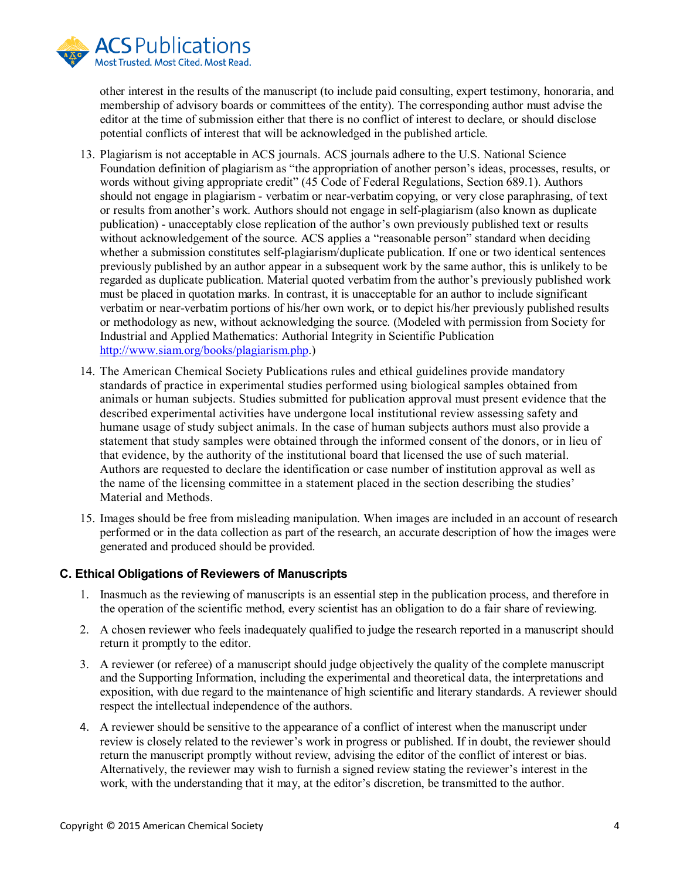

other interest in the results of the manuscript (to include paid consulting, expert testimony, honoraria, and membership of advisory boards or committees of the entity). The corresponding author must advise the editor at the time of submission either that there is no conflict of interest to declare, or should disclose potential conflicts of interest that will be acknowledged in the published article.

- 13. Plagiarism is not acceptable in ACS journals. ACS journals adhere to the U.S. National Science Foundation definition of plagiarism as "the appropriation of another person's ideas, processes, results, or words without giving appropriate credit" (45 Code of Federal Regulations, Section 689.1). Authors should not engage in plagiarism - verbatim or near-verbatim copying, or very close paraphrasing, of text or results from another's work. Authors should not engage in self-plagiarism (also known as duplicate publication) - unacceptably close replication of the author's own previously published text or results without acknowledgement of the source. ACS applies a "reasonable person" standard when deciding whether a submission constitutes self-plagiarism/duplicate publication. If one or two identical sentences previously published by an author appear in a subsequent work by the same author, this is unlikely to be regarded as duplicate publication. Material quoted verbatim from the author's previously published work must be placed in quotation marks. In contrast, it is unacceptable for an author to include significant verbatim or near-verbatim portions of his/her own work, or to depict his/her previously published results or methodology as new, without acknowledging the source. (Modeled with permission from Society for Industrial and Applied Mathematics: Authorial Integrity in Scientific Publication [http://www.siam.org/books/plagiarism.php.](http://www.siam.org/books/plagiarism.php))
- 14. The American Chemical Society Publications rules and ethical guidelines provide mandatory standards of practice in experimental studies performed using biological samples obtained from animals or human subjects. Studies submitted for publication approval must present evidence that the described experimental activities have undergone local institutional review assessing safety and humane usage of study subject animals. In the case of human subjects authors must also provide a statement that study samples were obtained through the informed consent of the donors, or in lieu of that evidence, by the authority of the institutional board that licensed the use of such material. Authors are requested to declare the identification or case number of institution approval as well as the name of the licensing committee in a statement placed in the section describing the studies' Material and Methods.
- 15. Images should be free from misleading manipulation. When images are included in an account of research performed or in the data collection as part of the research, an accurate description of how the images were generated and produced should be provided.

#### **C. Ethical Obligations of Reviewers of Manuscripts**

- 1. Inasmuch as the reviewing of manuscripts is an essential step in the publication process, and therefore in the operation of the scientific method, every scientist has an obligation to do a fair share of reviewing.
- 2. A chosen reviewer who feels inadequately qualified to judge the research reported in a manuscript should return it promptly to the editor.
- 3. A reviewer (or referee) of a manuscript should judge objectively the quality of the complete manuscript and the Supporting Information, including the experimental and theoretical data, the interpretations and exposition, with due regard to the maintenance of high scientific and literary standards. A reviewer should respect the intellectual independence of the authors.
- 4. A reviewer should be sensitive to the appearance of a conflict of interest when the manuscript under review is closely related to the reviewer's work in progress or published. If in doubt, the reviewer should return the manuscript promptly without review, advising the editor of the conflict of interest or bias. Alternatively, the reviewer may wish to furnish a signed review stating the reviewer's interest in the work, with the understanding that it may, at the editor's discretion, be transmitted to the author.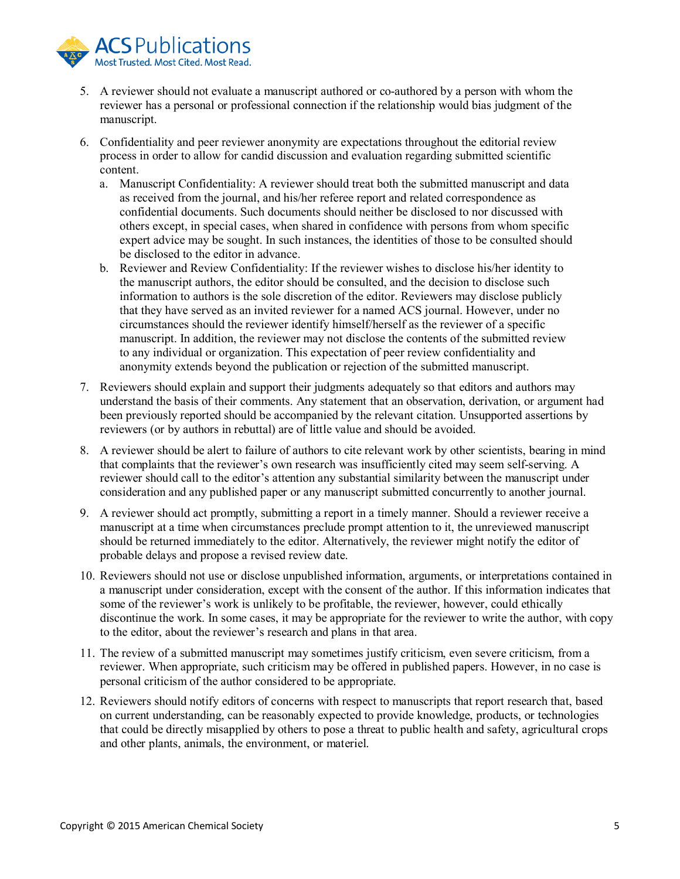

- 5. A reviewer should not evaluate a manuscript authored or co-authored by a person with whom the reviewer has a personal or professional connection if the relationship would bias judgment of the manuscript.
- 6. Confidentiality and peer reviewer anonymity are expectations throughout the editorial review process in order to allow for candid discussion and evaluation regarding submitted scientific content.
	- a. Manuscript Confidentiality: A reviewer should treat both the submitted manuscript and data as received from the journal, and his/her referee report and related correspondence as confidential documents. Such documents should neither be disclosed to nor discussed with others except, in special cases, when shared in confidence with persons from whom specific expert advice may be sought. In such instances, the identities of those to be consulted should be disclosed to the editor in advance.
	- b. Reviewer and Review Confidentiality: If the reviewer wishes to disclose his/her identity to the manuscript authors, the editor should be consulted, and the decision to disclose such information to authors is the sole discretion of the editor. Reviewers may disclose publicly that they have served as an invited reviewer for a named ACS journal. However, under no circumstances should the reviewer identify himself/herself as the reviewer of a specific manuscript. In addition, the reviewer may not disclose the contents of the submitted review to any individual or organization. This expectation of peer review confidentiality and anonymity extends beyond the publication or rejection of the submitted manuscript.
- 7. Reviewers should explain and support their judgments adequately so that editors and authors may understand the basis of their comments. Any statement that an observation, derivation, or argument had been previously reported should be accompanied by the relevant citation. Unsupported assertions by reviewers (or by authors in rebuttal) are of little value and should be avoided.
- 8. A reviewer should be alert to failure of authors to cite relevant work by other scientists, bearing in mind that complaints that the reviewer's own research was insufficiently cited may seem self-serving. A reviewer should call to the editor's attention any substantial similarity between the manuscript under consideration and any published paper or any manuscript submitted concurrently to another journal.
- 9. A reviewer should act promptly, submitting a report in a timely manner. Should a reviewer receive a manuscript at a time when circumstances preclude prompt attention to it, the unreviewed manuscript should be returned immediately to the editor. Alternatively, the reviewer might notify the editor of probable delays and propose a revised review date.
- 10. Reviewers should not use or disclose unpublished information, arguments, or interpretations contained in a manuscript under consideration, except with the consent of the author. If this information indicates that some of the reviewer's work is unlikely to be profitable, the reviewer, however, could ethically discontinue the work. In some cases, it may be appropriate for the reviewer to write the author, with copy to the editor, about the reviewer's research and plans in that area.
- 11. The review of a submitted manuscript may sometimes justify criticism, even severe criticism, from a reviewer. When appropriate, such criticism may be offered in published papers. However, in no case is personal criticism of the author considered to be appropriate.
- 12. Reviewers should notify editors of concerns with respect to manuscripts that report research that, based on current understanding, can be reasonably expected to provide knowledge, products, or technologies that could be directly misapplied by others to pose a threat to public health and safety, agricultural crops and other plants, animals, the environment, or materiel.